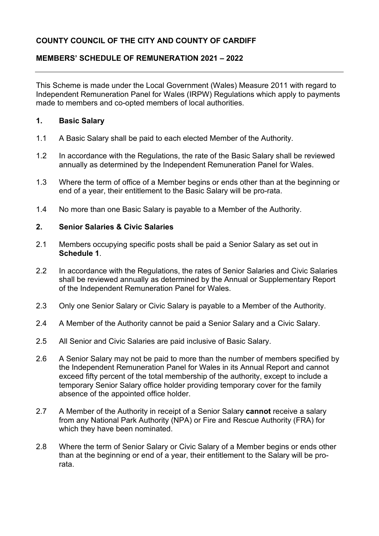## **COUNTY COUNCIL OF THE CITY AND COUNTY OF CARDIFF**

## **MEMBERS' SCHEDULE OF REMUNERATION 2021 – 2022**

 made to members and co-opted members of local authorities. This Scheme is made under the Local Government (Wales) Measure 2011 with regard to Independent Remuneration Panel for Wales (IRPW) Regulations which apply to payments

#### **1. Basic Salary**

- 1.1 A Basic Salary shall be paid to each elected Member of the Authority.
- 1.2 In accordance with the Regulations, the rate of the Basic Salary shall be reviewed annually as determined by the Independent Remuneration Panel for Wales.
- 1.3 Where the term of office of a Member begins or ends other than at the beginning or end of a year, their entitlement to the Basic Salary will be pro-rata.
- 1.4 No more than one Basic Salary is payable to a Member of the Authority.

## **2. Senior Salaries & Civic Salaries**

- 2.1 Members occupying specific posts shall be paid a Senior Salary as set out in **Schedule 1**.
- of the Independent Remuneration Panel for Wales. 2.2 In accordance with the Regulations, the rates of Senior Salaries and Civic Salaries shall be reviewed annually as determined by the Annual or Supplementary Report
- Only one Senior Salary or Civic Salary is payable to a Member of the Authority. 2.3 Only one Senior Salary or Civic Salary is payable to a Member of the Authority. 2.4 A Member of the Authority cannot be paid a Senior Salary and a Civic Salary.
- 
- 2.5 All Senior and Civic Salaries are paid inclusive of Basic Salary.
- exceed fifty percent of the total membership of the authority, except to include a 2.6 A Senior Salary may not be paid to more than the number of members specified by the Independent Remuneration Panel for Wales in its Annual Report and cannot temporary Senior Salary office holder providing temporary cover for the family absence of the appointed office holder.
- 2.7 A Member of the Authority in receipt of a Senior Salary **cannot** receive a salary from any National Park Authority (NPA) or Fire and Rescue Authority (FRA) for which they have been nominated.
- 2.8 Where the term of Senior Salary or Civic Salary of a Member begins or ends other than at the beginning or end of a year, their entitlement to the Salary will be prorata.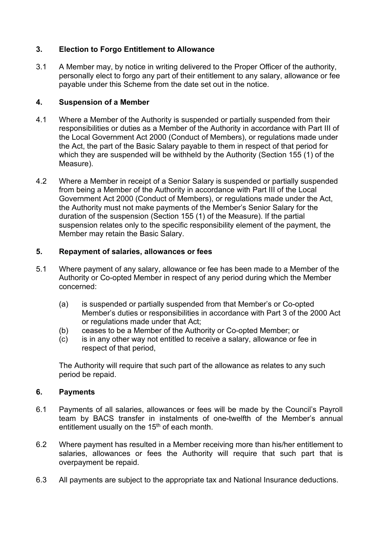## **3. Election to Forgo Entitlement to Allowance**

 3.1 A Member may, by notice in writing delivered to the Proper Officer of the authority, personally elect to forgo any part of their entitlement to any salary, allowance or fee payable under this Scheme from the date set out in the notice.

## **4. Suspension of a Member**

- 4.1 Where a Member of the Authority is suspended or partially suspended from their responsibilities or duties as a Member of the Authority in accordance with Part III of the Local Government Act 2000 (Conduct of Members), or regulations made under the Act, the part of the Basic Salary payable to them in respect of that period for which they are suspended will be withheld by the Authority (Section 155 (1) of the Measure).
- the Authority must not make payments of the Member's Senior Salary for the duration of the suspension (Section 155 (1) of the Measure). If the partial 4.2 Where a Member in receipt of a Senior Salary is suspended or partially suspended from being a Member of the Authority in accordance with Part III of the Local Government Act 2000 (Conduct of Members), or regulations made under the Act, suspension relates only to the specific responsibility element of the payment, the Member may retain the Basic Salary.

## **5. Repayment of salaries, allowances or fees**

- 5.1 Where payment of any salary, allowance or fee has been made to a Member of the Authority or Co-opted Member in respect of any period during which the Member concerned:
	- (a) is suspended or partially suspended from that Member's or Co-opted Member's duties or responsibilities in accordance with Part 3 of the 2000 Act or regulations made under that Act;
	- (b) ceases to be a Member of the Authority or Co-opted Member; or
	- (c) is in any other way not entitled to receive a salary, allowance or fee in respect of that period,

The Authority will require that such part of the allowance as relates to any such period be repaid.

## **6. Payments**

- 6.1 Payments of all salaries, allowances or fees will be made by the Council's Payroll team by BACS transfer in instalments of one-twelfth of the Member's annual entitlement usually on the  $15<sup>th</sup>$  of each month.
- 6.2 Where payment has resulted in a Member receiving more than his/her entitlement to salaries, allowances or fees the Authority will require that such part that is overpayment be repaid.
- 6.3 All payments are subject to the appropriate tax and National Insurance deductions.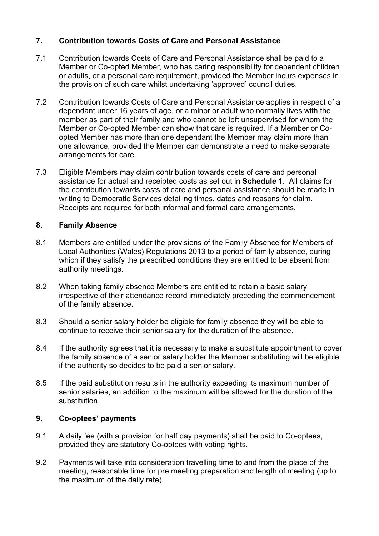## **7. Contribution towards Costs of Care and Personal Assistance**

- 7.1 Contribution towards Costs of Care and Personal Assistance shall be paid to a Member or Co-opted Member, who has caring responsibility for dependent children or adults, or a personal care requirement, provided the Member incurs expenses in the provision of such care whilst undertaking 'approved' council duties.
- dependant under 16 years of age, or a minor or adult who normally lives with the opted Member has more than one dependant the Member may claim more than 7.2 Contribution towards Costs of Care and Personal Assistance applies in respect of a member as part of their family and who cannot be left unsupervised for whom the Member or Co-opted Member can show that care is required. If a Member or Coone allowance, provided the Member can demonstrate a need to make separate arrangements for care.
- assistance for actual and receipted costs as set out in **Schedule 1**. All claims for 7.3 Eligible Members may claim contribution towards costs of care and personal the contribution towards costs of care and personal assistance should be made in writing to Democratic Services detailing times, dates and reasons for claim. Receipts are required for both informal and formal care arrangements.

## **8. Family Absence**

- 8.1 Members are entitled under the provisions of the Family Absence for Members of Local Authorities (Wales) Regulations 2013 to a period of family absence, during which if they satisfy the prescribed conditions they are entitled to be absent from authority meetings.
- 8.2 When taking family absence Members are entitled to retain a basic salary irrespective of their attendance record immediately preceding the commencement of the family absence.
- 8.3 Should a senior salary holder be eligible for family absence they will be able to continue to receive their senior salary for the duration of the absence.
- 8.4 If the authority agrees that it is necessary to make a substitute appointment to cover the family absence of a senior salary holder the Member substituting will be eligible if the authority so decides to be paid a senior salary.
- 8.5 If the paid substitution results in the authority exceeding its maximum number of senior salaries, an addition to the maximum will be allowed for the duration of the substitution.

## **9. Co-optees' payments**

- 9.1 A daily fee (with a provision for half day payments) shall be paid to Co-optees, provided they are statutory Co-optees with voting rights.
- 9.2 Payments will take into consideration travelling time to and from the place of the meeting, reasonable time for pre meeting preparation and length of meeting (up to the maximum of the daily rate).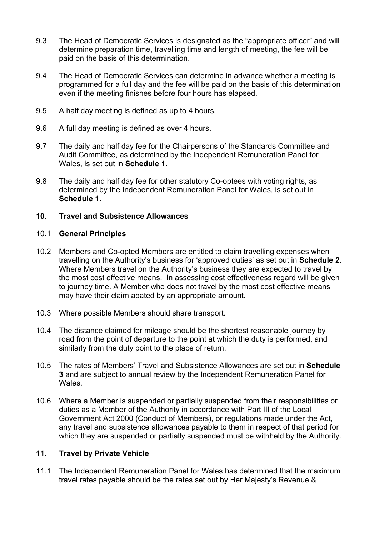- 9.3 The Head of Democratic Services is designated as the "appropriate officer" and will determine preparation time, travelling time and length of meeting, the fee will be paid on the basis of this determination.
- 9.4 The Head of Democratic Services can determine in advance whether a meeting is programmed for a full day and the fee will be paid on the basis of this determination even if the meeting finishes before four hours has elapsed.
- 9.5 A half day meeting is defined as up to 4 hours.
- 9.6 A full day meeting is defined as over 4 hours.
- Audit Committee, as determined by the Independent Remuneration Panel for 9.7 The daily and half day fee for the Chairpersons of the Standards Committee and Wales, is set out in **Schedule 1**.
- 9.8 The daily and half day fee for other statutory Co-optees with voting rights, as determined by the Independent Remuneration Panel for Wales, is set out in **Schedule 1**.

## **10. Travel and Subsistence Allowances**

#### 10.1 **General Principles**

- travelling on the Authority's business for 'approved duties' as set out in **Schedule 2.**  the most cost effective means. In assessing cost effectiveness regard will be given may have their claim abated by an appropriate amount. 10.2 Members and Co-opted Members are entitled to claim travelling expenses when Where Members travel on the Authority's business they are expected to travel by to journey time. A Member who does not travel by the most cost effective means
- 10.3 Where possible Members should share transport.
- may have their claim abated by an appropriate amount.<br>10.3 Where possible Members should share transport.<br>10.4 The distance claimed for mileage should be the shortest reasonable journey by road from the point of departure to the point at which the duty is performed, and similarly from the duty point to the place of return.
- 10.5 The rates of Members' Travel and Subsistence Allowances are set out in **Schedule 3** and are subject to annual review by the Independent Remuneration Panel for **Wales**
- 10.6 Where a Member is suspended or partially suspended from their responsibilities or any travel and subsistence allowances payable to them in respect of that period for duties as a Member of the Authority in accordance with Part III of the Local Government Act 2000 (Conduct of Members), or regulations made under the Act, which they are suspended or partially suspended must be withheld by the Authority.

#### **11. Travel by Private Vehicle**

 11.1 The Independent Remuneration Panel for Wales has determined that the maximum travel rates payable should be the rates set out by Her Majesty's Revenue &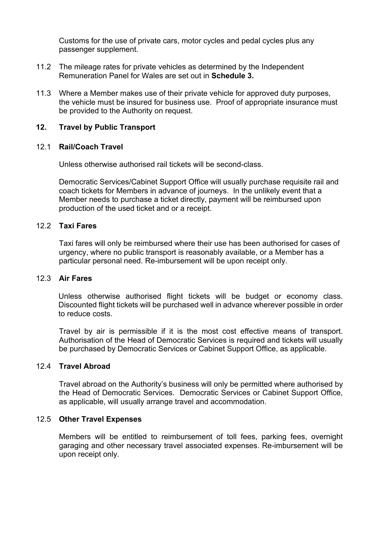Customs for the use of private cars, motor cycles and pedal cycles plus any passenger supplement.

- Remuneration Panel for Wales are set out in **Schedule 3.**  11.2 The mileage rates for private vehicles as determined by the Independent
- the vehicle must be insured for business use. Proof of appropriate insurance must 11.3 Where a Member makes use of their private vehicle for approved duty purposes, be provided to the Authority on request.

## **12. Travel by Public Transport**

#### $12.1$ 12.1 **Rail/Coach Travel**

Unless otherwise authorised rail tickets will be second-class.

 coach tickets for Members in advance of journeys. In the unlikely event that a production of the used ticket and or a receipt. Democratic Services/Cabinet Support Office will usually purchase requisite rail and Member needs to purchase a ticket directly, payment will be reimbursed upon

#### 12.2 **Taxi Fares**

 Taxi fares will only be reimbursed where their use has been authorised for cases of urgency, where no public transport is reasonably available, or a Member has a particular personal need. Re-imbursement will be upon receipt only.

#### 12.3 **Air Fares**

 Unless otherwise authorised flight tickets will be budget or economy class. Discounted flight tickets will be purchased well in advance wherever possible in order to reduce costs.

 Travel by air is permissible if it is the most cost effective means of transport. Authorisation of the Head of Democratic Services is required and tickets will usually be purchased by Democratic Services or Cabinet Support Office, as applicable.

#### 12.4 **Travel Abroad**

 Travel abroad on the Authority's business will only be permitted where authorised by the Head of Democratic Services. Democratic Services or Cabinet Support Office, as applicable, will usually arrange travel and accommodation.

#### 12.5 **Other Travel Expenses**

Members will be entitled to reimbursement of toll fees, parking fees, overnight garaging and other necessary travel associated expenses. Re-imbursement will be upon receipt only.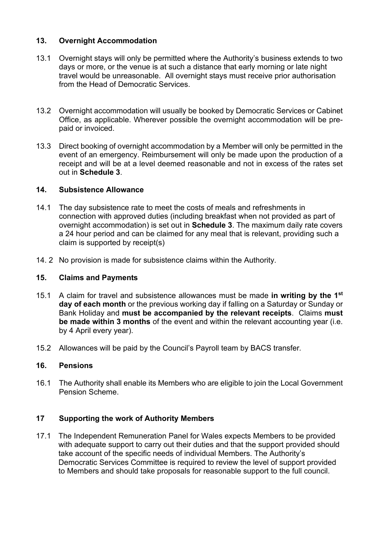## **13. Overnight Accommodation**

- days or more, or the venue is at such a distance that early morning or late night travel would be unreasonable. All overnight stays must receive prior authorisation 13.1 Overnight stays will only be permitted where the Authority's business extends to two from the Head of Democratic Services.
- 13.2 Overnight accommodation will usually be booked by Democratic Services or Cabinet Office, as applicable. Wherever possible the overnight accommodation will be prepaid or invoiced.
- 13.3 Direct booking of overnight accommodation by a Member will only be permitted in the event of an emergency. Reimbursement will only be made upon the production of a receipt and will be at a level deemed reasonable and not in excess of the rates set out in **Schedule 3**.

#### **14. Subsistence Allowance**

- a 24 hour period and can be claimed for any meal that is relevant, providing such a 14.1 The day subsistence rate to meet the costs of meals and refreshments in connection with approved duties (including breakfast when not provided as part of overnight accommodation) is set out in **Schedule 3**. The maximum daily rate covers claim is supported by receipt(s)
- 14. 2 No provision is made for subsistence claims within the Authority.

## **15. Claims and Payments**

- 15.1 A claim for travel and subsistence allowances must be made **in writing by the 1st day of each month** or the previous working day if falling on a Saturday or Sunday or Bank Holiday and **must be accompanied by the relevant receipts**. Claims **must be made within 3 months** of the event and within the relevant accounting year (i.e. by 4 April every year).
- 15.2 Allowances will be paid by the Council's Payroll team by BACS transfer*.*

## **16. Pensions**

16.1 The Authority shall enable its Members who are eligible to join the Local Government Pension Scheme.

## **17 Supporting the work of Authority Members**

17.1 The Independent Remuneration Panel for Wales expects Members to be provided with adequate support to carry out their duties and that the support provided should take account of the specific needs of individual Members. The Authority's Democratic Services Committee is required to review the level of support provided to Members and should take proposals for reasonable support to the full council.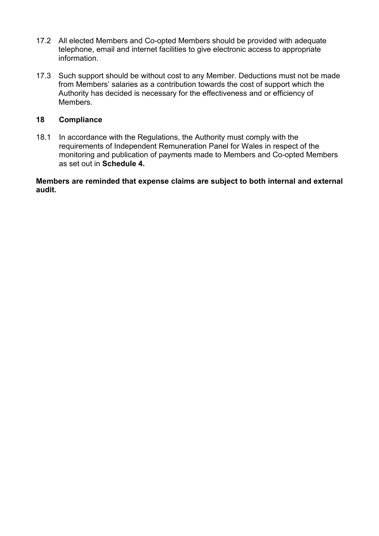- 17.2 All elected Members and Co-opted Members should be provided with adequate telephone, email and internet facilities to give electronic access to appropriate information.
- 17.3 Such support should be without cost to any Member. Deductions must not be made from Members' salaries as a contribution towards the cost of support which the Authority has decided is necessary for the effectiveness and or efficiency of Members.

#### **18 Compliance**

18.1 In accordance with the Regulations, the Authority must comply with the requirements of Independent Remuneration Panel for Wales in respect of the monitoring and publication of payments made to Members and Co-opted Members as set out in **Schedule 4.** 

**Members are reminded that expense claims are subject to both internal and external audit.**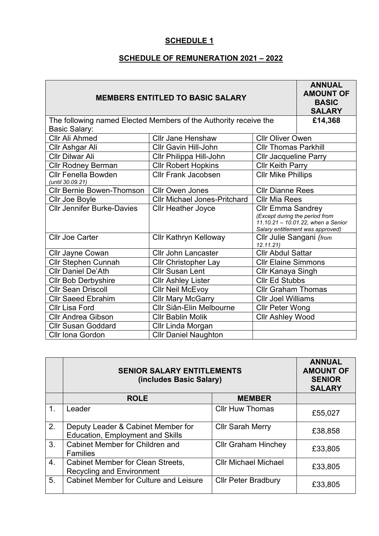## **SCHEDULE OF REMUNERATION 2021 – 2022**

| <b>MEMBERS ENTITLED TO BASIC SALARY</b>                                      | <b>ANNUAL</b><br><b>AMOUNT OF</b><br><b>BASIC</b><br><b>SALARY</b> |                                      |                                                                                                          |
|------------------------------------------------------------------------------|--------------------------------------------------------------------|--------------------------------------|----------------------------------------------------------------------------------------------------------|
| The following named Elected Members of the Authority receive the             | £14,368                                                            |                                      |                                                                                                          |
| <b>Basic Salary:</b>                                                         |                                                                    |                                      |                                                                                                          |
| <b>Cllr Jane Henshaw</b><br><b>Cllr Oliver Owen</b><br><b>Cllr Ali Ahmed</b> |                                                                    |                                      |                                                                                                          |
| Cllr Ashgar Ali                                                              | <b>Cllr Gavin Hill-John</b>                                        | <b>Cllr Thomas Parkhill</b>          |                                                                                                          |
| <b>Cllr Dilwar Ali</b>                                                       | Cllr Philippa Hill-John                                            | <b>Cllr Jacqueline Parry</b>         |                                                                                                          |
| <b>Cllr Rodney Berman</b>                                                    | <b>Cllr Robert Hopkins</b>                                         | <b>Cllr Keith Parry</b>              |                                                                                                          |
| <b>Cllr Fenella Bowden</b><br>(until 30.09.21)                               | <b>Cllr Frank Jacobsen</b>                                         | <b>CIIr Mike Phillips</b>            |                                                                                                          |
| <b>Cllr Bernie Bowen-Thomson</b>                                             | <b>Cllr Owen Jones</b>                                             | <b>Cllr Dianne Rees</b>              |                                                                                                          |
| Cllr Joe Boyle                                                               | <b>Cllr Michael Jones-Pritchard</b>                                | <b>Cllr Mia Rees</b>                 |                                                                                                          |
| <b>Cllr Jennifer Burke-Davies</b>                                            | <b>Cllr Heather Joyce</b>                                          | <b>Cllr Emma Sandrey</b>             | (Except during the period from<br>11.10.21 - 10.01.22, when a Senior<br>Salary entitlement was approved) |
| <b>Cllr Joe Carter</b>                                                       | <b>Cllr Kathryn Kelloway</b>                                       | Cllr Julie Sangani (from<br>12.11.21 |                                                                                                          |
| Cllr Jayne Cowan                                                             | <b>Cllr John Lancaster</b>                                         | <b>Cllr Abdul Sattar</b>             |                                                                                                          |
| <b>Cllr Stephen Cunnah</b>                                                   | <b>Cllr Christopher Lay</b>                                        | <b>Cllr Elaine Simmons</b>           |                                                                                                          |
| <b>Cllr Daniel De'Ath</b>                                                    | <b>Cllr Susan Lent</b>                                             | Cllr Kanaya Singh                    |                                                                                                          |
| <b>Cllr Bob Derbyshire</b>                                                   | <b>Cllr Ashley Lister</b>                                          | <b>Cllr Ed Stubbs</b>                |                                                                                                          |
| <b>Cllr Sean Driscoll</b>                                                    | <b>Cllr Neil McEvoy</b>                                            | <b>Cllr Graham Thomas</b>            |                                                                                                          |
| <b>Cllr Saeed Ebrahim</b>                                                    | <b>Cllr Mary McGarry</b>                                           | <b>Cllr Joel Williams</b>            |                                                                                                          |
| <b>Cllr Lisa Ford</b>                                                        | Cllr Siân-Elin Melbourne                                           | <b>Cllr Peter Wong</b>               |                                                                                                          |
| <b>Cllr Andrea Gibson</b>                                                    | <b>Cllr Bablin Molik</b>                                           | <b>Cllr Ashley Wood</b>              |                                                                                                          |
| <b>Cllr Susan Goddard</b>                                                    | Cllr Linda Morgan                                                  |                                      |                                                                                                          |
| <b>Cllr Iona Gordon</b>                                                      | <b>Cllr Daniel Naughton</b>                                        |                                      |                                                                                                          |

|                  | <b>SENIOR SALARY ENTITLEMENTS</b><br>(includes Basic Salary)                  |                             | <b>ANNUAL</b><br><b>AMOUNT OF</b><br><b>SENIOR</b><br><b>SALARY</b> |
|------------------|-------------------------------------------------------------------------------|-----------------------------|---------------------------------------------------------------------|
|                  | <b>ROLE</b>                                                                   | <b>MEMBER</b>               |                                                                     |
| 1.               | Leader                                                                        | <b>Cllr Huw Thomas</b>      | £55,027                                                             |
| 2.               | Deputy Leader & Cabinet Member for<br><b>Education, Employment and Skills</b> | <b>Cllr Sarah Merry</b>     | £38,858                                                             |
| 3.               | Cabinet Member for Children and<br><b>Families</b>                            | <b>Cllr Graham Hinchey</b>  | £33,805                                                             |
| $\overline{4}$ . | <b>Cabinet Member for Clean Streets,</b><br><b>Recycling and Environment</b>  | <b>Cllr Michael Michael</b> | £33,805                                                             |
| 5.               | <b>Cabinet Member for Culture and Leisure</b>                                 | <b>Cllr Peter Bradbury</b>  | £33,805                                                             |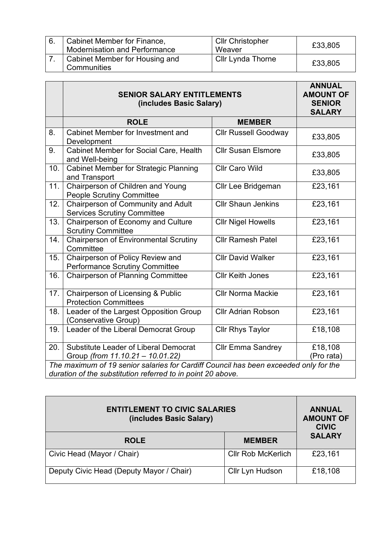| 6. | Cabinet Member for Finance,<br>Modernisation and Performance | <b>Cllr Christopher</b><br>Weaver | £33,805 |
|----|--------------------------------------------------------------|-----------------------------------|---------|
|    | Cabinet Member for Housing and<br>Communities                | <b>Cllr Lynda Thorne</b>          | £33,805 |

| <b>SENIOR SALARY ENTITLEMENTS</b><br>(includes Basic Salary)                         |                                       | <b>AMOUNT OF</b><br><b>SENIOR</b><br><b>SALARY</b>          |
|--------------------------------------------------------------------------------------|---------------------------------------|-------------------------------------------------------------|
| <b>ROLE</b>                                                                          | <b>MEMBER</b>                         |                                                             |
| Cabinet Member for Investment and<br>Development                                     | <b>Cllr Russell Goodway</b>           | £33,805                                                     |
| <b>Cabinet Member for Social Care, Health</b><br>and Well-being                      | <b>Cllr Susan Elsmore</b>             | £33,805                                                     |
| <b>Cabinet Member for Strategic Planning</b><br>and Transport                        | <b>Cllr Caro Wild</b>                 | £33,805                                                     |
| Chairperson of Children and Young<br><b>People Scrutiny Committee</b>                | <b>Cllr Lee Bridgeman</b>             | £23,161                                                     |
| Chairperson of Community and Adult<br><b>Services Scrutiny Committee</b>             | <b>Cllr Shaun Jenkins</b>             | £23,161                                                     |
| Chairperson of Economy and Culture<br><b>Scrutiny Committee</b>                      | <b>Cllr Nigel Howells</b>             | £23,161                                                     |
| <b>Chairperson of Environmental Scrutiny</b><br>Committee                            | <b>Cllr Ramesh Patel</b>              | £23,161                                                     |
| Chairperson of Policy Review and                                                     | <b>Cllr David Walker</b>              | £23,161                                                     |
| <b>Chairperson of Planning Committee</b>                                             | <b>Cllr Keith Jones</b>               | £23,161                                                     |
| Chairperson of Licensing & Public<br><b>Protection Committees</b>                    | <b>Cllr Norma Mackie</b>              | £23,161                                                     |
| Leader of the Largest Opposition Group<br>(Conservative Group)                       | <b>Cllr Adrian Robson</b>             | £23,161                                                     |
| Leader of the Liberal Democrat Group                                                 | <b>Cllr Rhys Taylor</b>               | £18,108                                                     |
| <b>Substitute Leader of Liberal Democrat</b><br>Group (from 11.10.21 - 10.01.22)     | <b>Cllr Emma Sandrey</b>              | £18,108<br>(Pro rata)                                       |
| The maximum of 19 senior salaries for Cardiff Council has been exceeded only for the |                                       |                                                             |
|                                                                                      | <b>Performance Scrutiny Committee</b> | duration of the substitution referred to in point 20 above. |

| <b>ENTITLEMENT TO CIVIC SALARIES</b><br>(includes Basic Salary) | <b>ANNUAL</b><br><b>AMOUNT OF</b><br><b>CIVIC</b> |               |  |
|-----------------------------------------------------------------|---------------------------------------------------|---------------|--|
| <b>ROLE</b>                                                     | <b>MEMBER</b>                                     | <b>SALARY</b> |  |
| Civic Head (Mayor / Chair)                                      | <b>Cllr Rob McKerlich</b>                         | £23,161       |  |
| Deputy Civic Head (Deputy Mayor / Chair)                        | Cllr Lyn Hudson                                   | £18,108       |  |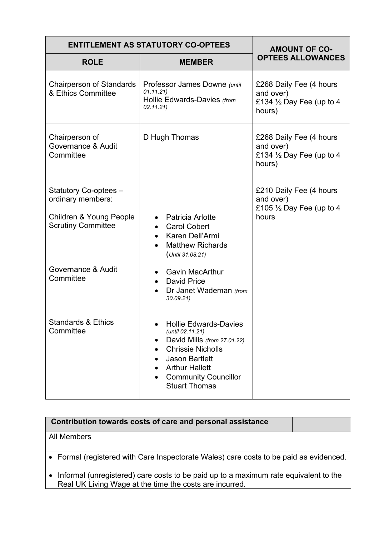| <b>ENTITLEMENT AS STATUTORY CO-OPTEES</b>                                                                     | <b>AMOUNT OF CO-</b>                                                                                                                                                                                                                           |                                                                                       |
|---------------------------------------------------------------------------------------------------------------|------------------------------------------------------------------------------------------------------------------------------------------------------------------------------------------------------------------------------------------------|---------------------------------------------------------------------------------------|
| <b>ROLE</b>                                                                                                   | <b>MEMBER</b>                                                                                                                                                                                                                                  | <b>OPTEES ALLOWANCES</b>                                                              |
| <b>Chairperson of Standards</b><br>& Ethics Committee                                                         | Professor James Downe (until<br>01.11.21)<br>Hollie Edwards-Davies (from<br>02.11.21)                                                                                                                                                          | £268 Daily Fee (4 hours<br>and over)<br>£134 $\frac{1}{2}$ Day Fee (up to 4<br>hours) |
| Chairperson of<br>Governance & Audit<br>Committee                                                             | D Hugh Thomas                                                                                                                                                                                                                                  | £268 Daily Fee (4 hours<br>and over)<br>£134 $\frac{1}{2}$ Day Fee (up to 4<br>hours) |
| Statutory Co-optees -<br>ordinary members:<br><b>Children &amp; Young People</b><br><b>Scrutiny Committee</b> | Patricia Arlotte<br><b>Carol Cobert</b><br>$\bullet$<br>Karen Dell'Armi<br>$\bullet$<br><b>Matthew Richards</b><br>$($ Until 31.08.21)                                                                                                         | £210 Daily Fee (4 hours<br>and over)<br>£105 $\frac{1}{2}$ Day Fee (up to 4<br>hours  |
| Governance & Audit<br>Committee                                                                               | <b>Gavin MacArthur</b><br>$\bullet$<br><b>David Price</b><br>$\bullet$<br>Dr Janet Wademan (from<br>30.09.21                                                                                                                                   |                                                                                       |
| <b>Standards &amp; Ethics</b><br>Committee                                                                    | <b>Hollie Edwards-Davies</b><br>(until 02.11.21)<br>David Mills (from 27.01.22)<br>$\bullet$<br><b>Chrissie Nicholls</b><br>$\bullet$<br><b>Jason Bartlett</b><br><b>Arthur Hallett</b><br><b>Community Councillor</b><br><b>Stuart Thomas</b> |                                                                                       |

| Contribution towards costs of care and personal assistance                                                                                        |  |
|---------------------------------------------------------------------------------------------------------------------------------------------------|--|
| All Members                                                                                                                                       |  |
| • Formal (registered with Care Inspectorate Wales) care costs to be paid as evidenced.                                                            |  |
| • Informal (unregistered) care costs to be paid up to a maximum rate equivalent to the<br>Real UK Living Wage at the time the costs are incurred. |  |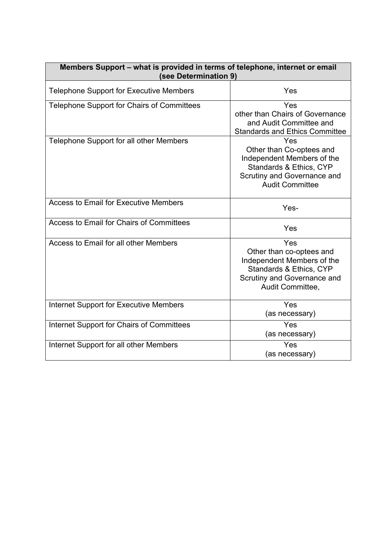| Members Support – what is provided in terms of telephone, internet or email<br>(see Determination 9) |                                                                                                                                                   |  |
|------------------------------------------------------------------------------------------------------|---------------------------------------------------------------------------------------------------------------------------------------------------|--|
| <b>Telephone Support for Executive Members</b>                                                       | Yes                                                                                                                                               |  |
| Telephone Support for Chairs of Committees                                                           | Yes<br>other than Chairs of Governance<br>and Audit Committee and<br><b>Standards and Ethics Committee</b>                                        |  |
| Telephone Support for all other Members                                                              | Yes<br>Other than Co-optees and<br>Independent Members of the<br>Standards & Ethics, CYP<br>Scrutiny and Governance and<br><b>Audit Committee</b> |  |
| <b>Access to Email for Executive Members</b>                                                         | Yes-                                                                                                                                              |  |
| Access to Email for Chairs of Committees                                                             | Yes                                                                                                                                               |  |
| Access to Email for all other Members                                                                | Yes<br>Other than co-optees and<br>Independent Members of the<br>Standards & Ethics, CYP<br>Scrutiny and Governance and<br>Audit Committee,       |  |
| <b>Internet Support for Executive Members</b>                                                        | Yes<br>(as necessary)                                                                                                                             |  |
| Internet Support for Chairs of Committees                                                            | Yes<br>(as necessary)                                                                                                                             |  |
| Internet Support for all other Members                                                               | Yes<br>(as necessary)                                                                                                                             |  |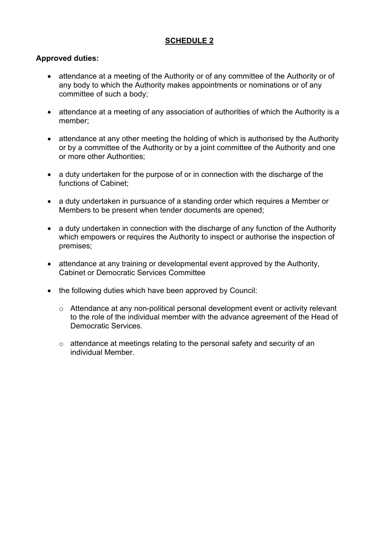## **Approved duties:**

- • attendance at a meeting of the Authority or of any committee of the Authority or of any body to which the Authority makes appointments or nominations or of any committee of such a body;
- • attendance at a meeting of any association of authorities of which the Authority is a member;
- attendance at any other meeting the holding of which is authorised by the Authority or by a committee of the Authority or by a joint committee of the Authority and one or more other Authorities;
- • a duty undertaken for the purpose of or in connection with the discharge of the functions of Cabinet;
- a duty undertaken in pursuance of a standing order which requires a Member or Members to be present when tender documents are opened;
- a duty undertaken in connection with the discharge of any function of the Authority which empowers or requires the Authority to inspect or authorise the inspection of premises;
- attendance at any training or developmental event approved by the Authority, Cabinet or Democratic Services Committee
- the following duties which have been approved by Council:
	- $\circ$  Attendance at any non-political personal development event or activity relevant to the role of the individual member with the advance agreement of the Head of Democratic Services.
	- o attendance at meetings relating to the personal safety and security of an individual Member.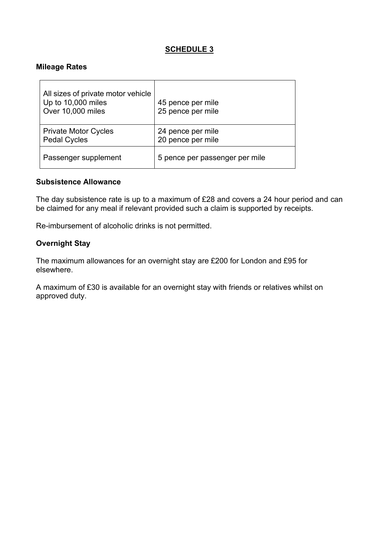#### **Mileage Rates**

| All sizes of private motor vehicle<br>Up to 10,000 miles<br>Over 10,000 miles | 45 pence per mile<br>25 pence per mile |
|-------------------------------------------------------------------------------|----------------------------------------|
| <b>Private Motor Cycles</b><br><b>Pedal Cycles</b>                            | 24 pence per mile<br>20 pence per mile |
| Passenger supplement                                                          | 5 pence per passenger per mile         |

#### **Subsistence Allowance**

The day subsistence rate is up to a maximum of £28 and covers a 24 hour period and can be claimed for any meal if relevant provided such a claim is supported by receipts.

Re-imbursement of alcoholic drinks is not permitted.

#### **Overnight Stay**

elsewhere. The maximum allowances for an overnight stay are £200 for London and £95 for

elsewhere.<br>A maximum of £30 is available for an overnight stay with friends or relatives whilst on approved duty.